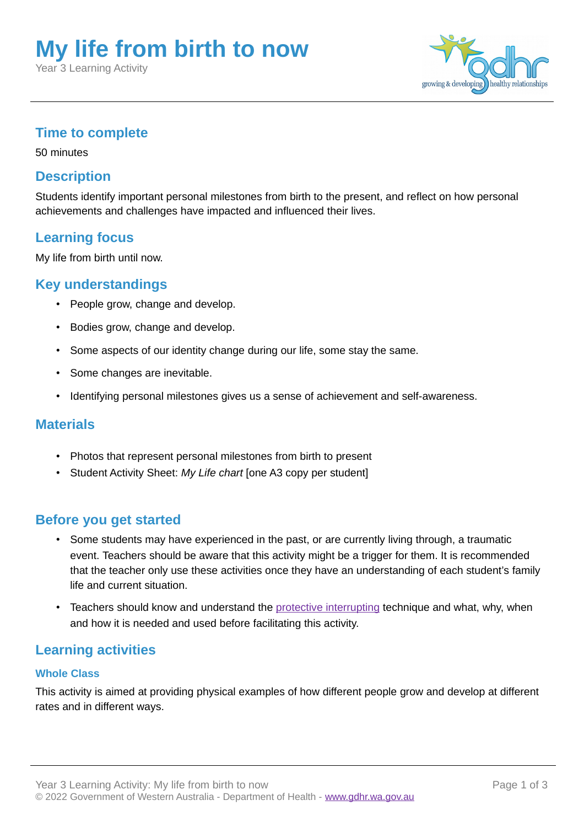# **My life from birth to now**

Year 3 Learning Activity



## **Time to complete**

50 minutes

## **Description**

Students identify important personal milestones from birth to the present, and reflect on how personal achievements and challenges have impacted and influenced their lives.

## **Learning focus**

My life from birth until now.

## **Key understandings**

- People grow, change and develop.
- Bodies grow, change and develop.
- Some aspects of our identity change during our life, some stay the same.
- Some changes are inevitable.
- Identifying personal milestones gives us a sense of achievement and self-awareness.

#### **Materials**

- Photos that represent personal milestones from birth to present
- Student Activity Sheet: *My Life chart* [one A3 copy per student]

#### **Before you get started**

- Some students may have experienced in the past, or are currently living through, a traumatic event. Teachers should be aware that this activity might be a trigger for them. It is recommended that the teacher only use these activities once they have an understanding of each student's family life and current situation.
- Teachers should know and understand the [protective interrupting](http://gdhr.wa.gov.au/guides/what-to-teach/protective-interrupting) technique and what, why, when and how it is needed and used before facilitating this activity.

#### **Learning activities**

#### **Whole Class**

This activity is aimed at providing physical examples of how different people grow and develop at different rates and in different ways.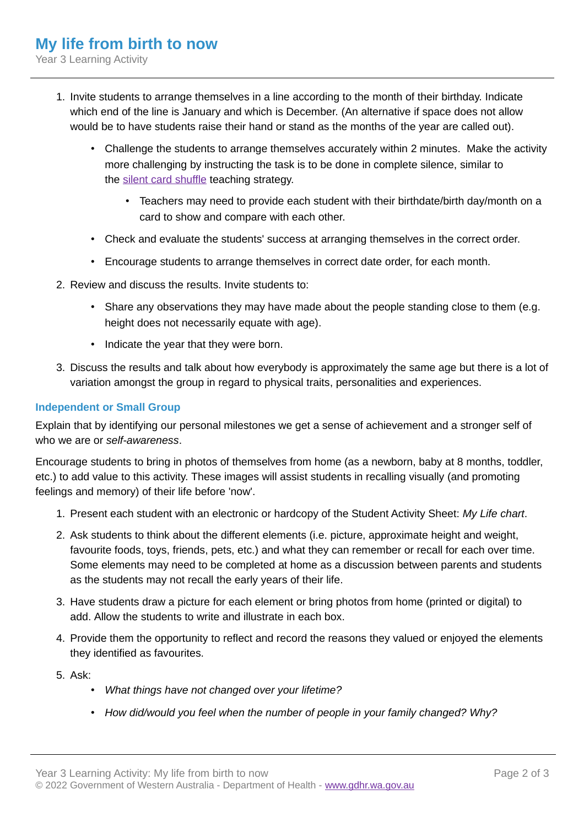Year 3 Learning Activity

- 1. Invite students to arrange themselves in a line according to the month of their birthday. Indicate which end of the line is January and which is December. (An alternative if space does not allow would be to have students raise their hand or stand as the months of the year are called out).
	- Challenge the students to arrange themselves accurately within 2 minutes. Make the activity more challenging by instructing the task is to be done in complete silence, similar to the [silent card shuffle](http://gdhr.wa.gov.au/learning/teaching-strategies/finding-out/silent-card-shuffle) teaching strategy.
		- Teachers may need to provide each student with their birthdate/birth day/month on a card to show and compare with each other.
	- Check and evaluate the students' success at arranging themselves in the correct order.
	- Encourage students to arrange themselves in correct date order, for each month.
- 2. Review and discuss the results. Invite students to:
	- Share any observations they may have made about the people standing close to them (e.g. height does not necessarily equate with age).
	- Indicate the year that they were born.
- 3. Discuss the results and talk about how everybody is approximately the same age but there is a lot of variation amongst the group in regard to physical traits, personalities and experiences.

#### **Independent or Small Group**

Explain that by identifying our personal milestones we get a sense of achievement and a stronger self of who we are or *self-awareness*.

Encourage students to bring in photos of themselves from home (as a newborn, baby at 8 months, toddler, etc.) to add value to this activity. These images will assist students in recalling visually (and promoting feelings and memory) of their life before 'now'.

- 1. Present each student with an electronic or hardcopy of the Student Activity Sheet: *My Life chart*.
- 2. Ask students to think about the different elements (i.e. picture, approximate height and weight, favourite foods, toys, friends, pets, etc.) and what they can remember or recall for each over time. Some elements may need to be completed at home as a discussion between parents and students as the students may not recall the early years of their life.
- 3. Have students draw a picture for each element or bring photos from home (printed or digital) to add. Allow the students to write and illustrate in each box.
- 4. Provide them the opportunity to reflect and record the reasons they valued or enjoyed the elements they identified as favourites.
- 5. Ask:
	- *What things have not changed over your lifetime?*
	- *How did/would you feel when the number of people in your family changed? Why?*